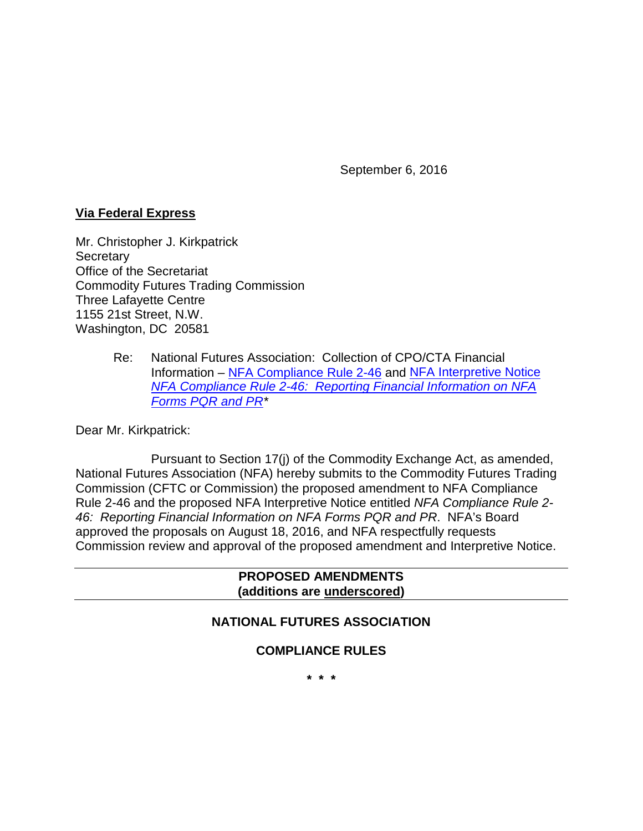September 6, 2016

### **Via Federal Express**

Mr. Christopher J. Kirkpatrick **Secretary** Office of the Secretariat Commodity Futures Trading Commission Three Lafayette Centre 1155 21st Street, N.W. Washington, DC 20581

> Re: National Futures Association: Collection of CPO/CTA Financial Information – [NFA Compliance Rule 2-46](https://www.nfa.futures.org/rulebook/rules.aspx?Section=4&RuleID=RULE%202-46) and [NFA Interpretive Notice](https://www.nfa.futures.org/rulebook/rules.aspx?Section=9&RuleID=9071)  *[NFA Compliance Rule 2-46: Reporting Financial Information on NFA](https://www.nfa.futures.org/rulebook/rules.aspx?Section=9&RuleID=9071)  [Forms PQR and PR\\*](https://www.nfa.futures.org/rulebook/rules.aspx?Section=9&RuleID=9071)*

Dear Mr. Kirkpatrick:

Pursuant to Section 17(j) of the Commodity Exchange Act, as amended, National Futures Association (NFA) hereby submits to the Commodity Futures Trading Commission (CFTC or Commission) the proposed amendment to NFA Compliance Rule 2-46 and the proposed NFA Interpretive Notice entitled *NFA Compliance Rule 2- 46: Reporting Financial Information on NFA Forms PQR and PR*. NFA's Board approved the proposals on August 18, 2016, and NFA respectfully requests Commission review and approval of the proposed amendment and Interpretive Notice.

### **PROPOSED AMENDMENTS (additions are underscored)**

### **NATIONAL FUTURES ASSOCIATION**

### **COMPLIANCE RULES**

**\* \* \***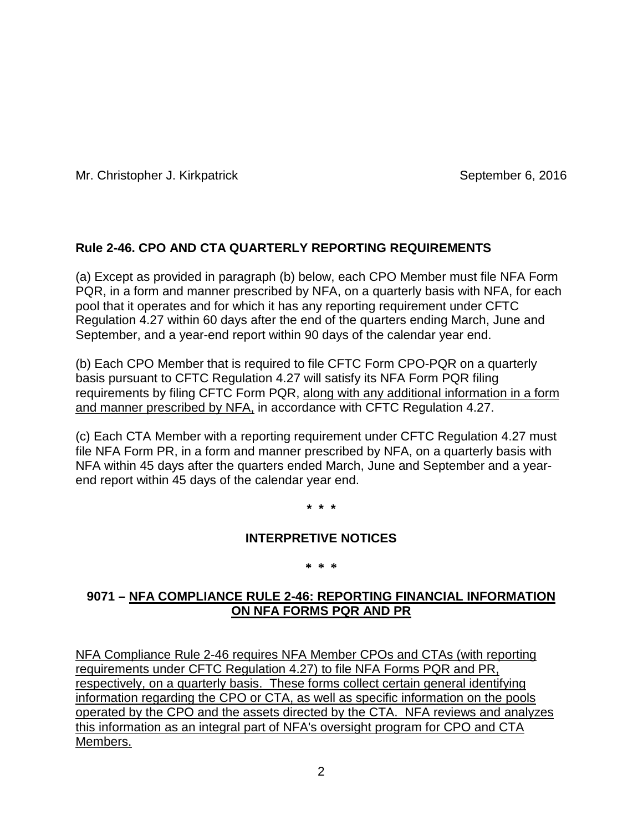# **Rule 2-46. CPO AND CTA QUARTERLY REPORTING REQUIREMENTS**

(a) Except as provided in paragraph (b) below, each CPO Member must file NFA Form PQR, in a form and manner prescribed by NFA, on a quarterly basis with NFA, for each pool that it operates and for which it has any reporting requirement under CFTC Regulation 4.27 within 60 days after the end of the quarters ending March, June and September, and a year-end report within 90 days of the calendar year end.

(b) Each CPO Member that is required to file CFTC Form CPO-PQR on a quarterly basis pursuant to CFTC Regulation 4.27 will satisfy its NFA Form PQR filing requirements by filing CFTC Form PQR, along with any additional information in a form and manner prescribed by NFA, in accordance with CFTC Regulation 4.27.

(c) Each CTA Member with a reporting requirement under CFTC Regulation 4.27 must file NFA Form PR, in a form and manner prescribed by NFA, on a quarterly basis with NFA within 45 days after the quarters ended March, June and September and a yearend report within 45 days of the calendar year end.

**\* \* \***

### **INTERPRETIVE NOTICES**

#### **\* \* \***

# **9071 – NFA COMPLIANCE RULE 2-46: REPORTING FINANCIAL INFORMATION ON NFA FORMS PQR AND PR**

NFA Compliance Rule 2-46 requires NFA Member CPOs and CTAs (with reporting requirements under CFTC Regulation 4.27) to file NFA Forms PQR and PR, respectively, on a quarterly basis. These forms collect certain general identifying information regarding the CPO or CTA, as well as specific information on the pools operated by the CPO and the assets directed by the CTA. NFA reviews and analyzes this information as an integral part of NFA's oversight program for CPO and CTA Members.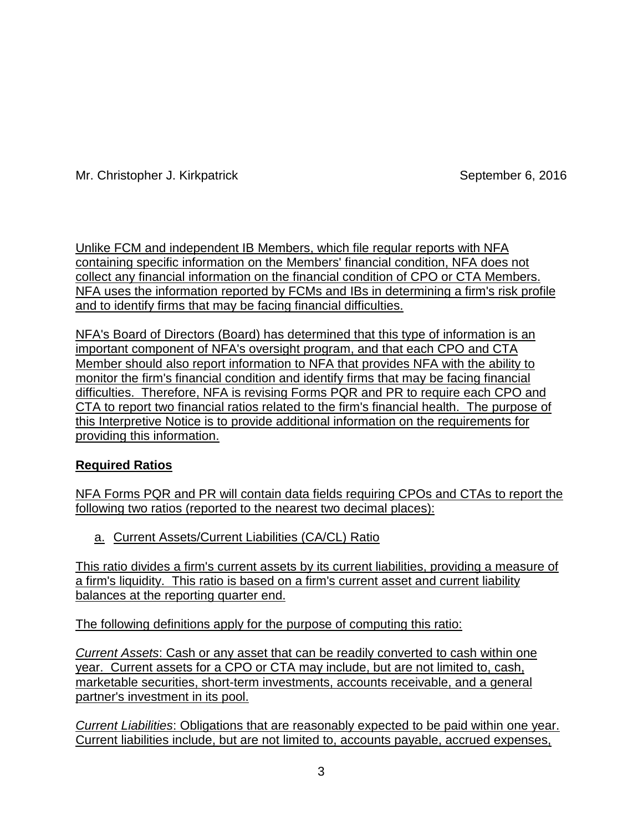Unlike FCM and independent IB Members, which file regular reports with NFA containing specific information on the Members' financial condition, NFA does not collect any financial information on the financial condition of CPO or CTA Members. NFA uses the information reported by FCMs and IBs in determining a firm's risk profile and to identify firms that may be facing financial difficulties.

NFA's Board of Directors (Board) has determined that this type of information is an important component of NFA's oversight program, and that each CPO and CTA Member should also report information to NFA that provides NFA with the ability to monitor the firm's financial condition and identify firms that may be facing financial difficulties. Therefore, NFA is revising Forms PQR and PR to require each CPO and CTA to report two financial ratios related to the firm's financial health. The purpose of this Interpretive Notice is to provide additional information on the requirements for providing this information.

# **Required Ratios**

NFA Forms PQR and PR will contain data fields requiring CPOs and CTAs to report the following two ratios (reported to the nearest two decimal places):

a. Current Assets/Current Liabilities (CA/CL) Ratio

This ratio divides a firm's current assets by its current liabilities, providing a measure of a firm's liquidity. This ratio is based on a firm's current asset and current liability balances at the reporting quarter end.

The following definitions apply for the purpose of computing this ratio:

*Current Assets*: Cash or any asset that can be readily converted to cash within one year. Current assets for a CPO or CTA may include, but are not limited to, cash, marketable securities, short-term investments, accounts receivable, and a general partner's investment in its pool.

*Current Liabilities*: Obligations that are reasonably expected to be paid within one year. Current liabilities include, but are not limited to, accounts payable, accrued expenses,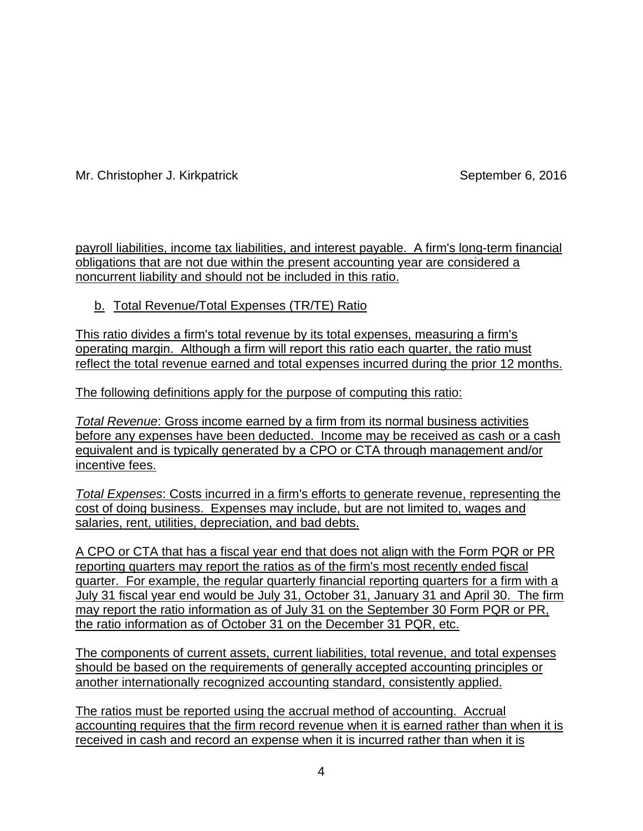payroll liabilities, income tax liabilities, and interest payable. A firm's long-term financial obligations that are not due within the present accounting year are considered a noncurrent liability and should not be included in this ratio.

b. Total Revenue/Total Expenses (TR/TE) Ratio

This ratio divides a firm's total revenue by its total expenses, measuring a firm's operating margin. Although a firm will report this ratio each quarter, the ratio must reflect the total revenue earned and total expenses incurred during the prior 12 months.

The following definitions apply for the purpose of computing this ratio:

*Total Revenue*: Gross income earned by a firm from its normal business activities before any expenses have been deducted. Income may be received as cash or a cash equivalent and is typically generated by a CPO or CTA through management and/or incentive fees.

*Total Expenses*: Costs incurred in a firm's efforts to generate revenue, representing the cost of doing business. Expenses may include, but are not limited to, wages and salaries, rent, utilities, depreciation, and bad debts.

A CPO or CTA that has a fiscal year end that does not align with the Form PQR or PR reporting quarters may report the ratios as of the firm's most recently ended fiscal quarter. For example, the regular quarterly financial reporting quarters for a firm with a July 31 fiscal year end would be July 31, October 31, January 31 and April 30. The firm may report the ratio information as of July 31 on the September 30 Form PQR or PR, the ratio information as of October 31 on the December 31 PQR, etc.

The components of current assets, current liabilities, total revenue, and total expenses should be based on the requirements of generally accepted accounting principles or another internationally recognized accounting standard, consistently applied.

The ratios must be reported using the accrual method of accounting. Accrual accounting requires that the firm record revenue when it is earned rather than when it is received in cash and record an expense when it is incurred rather than when it is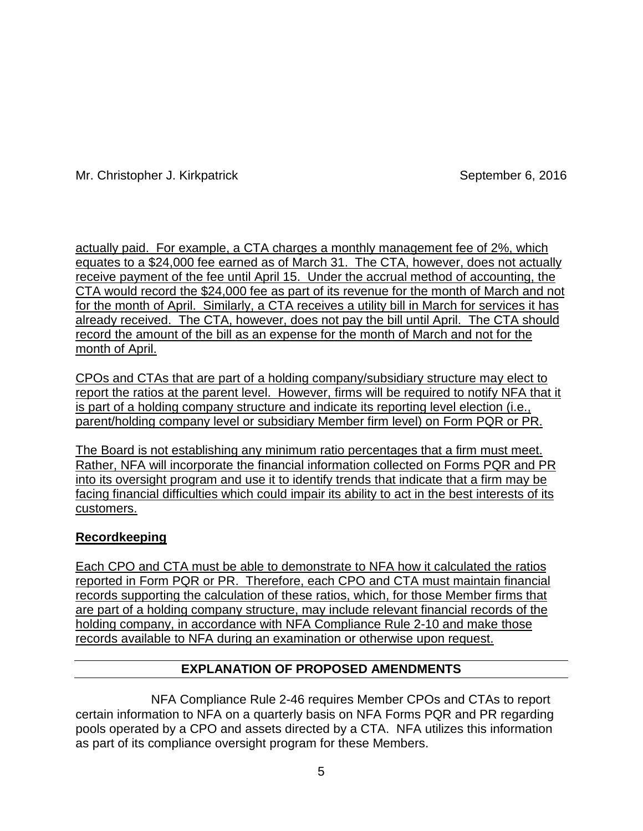actually paid. For example, a CTA charges a monthly management fee of 2%, which equates to a \$24,000 fee earned as of March 31. The CTA, however, does not actually receive payment of the fee until April 15. Under the accrual method of accounting, the CTA would record the \$24,000 fee as part of its revenue for the month of March and not for the month of April. Similarly, a CTA receives a utility bill in March for services it has already received. The CTA, however, does not pay the bill until April. The CTA should record the amount of the bill as an expense for the month of March and not for the month of April.

CPOs and CTAs that are part of a holding company/subsidiary structure may elect to report the ratios at the parent level. However, firms will be required to notify NFA that it is part of a holding company structure and indicate its reporting level election (i.e., parent/holding company level or subsidiary Member firm level) on Form PQR or PR.

The Board is not establishing any minimum ratio percentages that a firm must meet. Rather, NFA will incorporate the financial information collected on Forms PQR and PR into its oversight program and use it to identify trends that indicate that a firm may be facing financial difficulties which could impair its ability to act in the best interests of its customers.

# **Recordkeeping**

Each CPO and CTA must be able to demonstrate to NFA how it calculated the ratios reported in Form PQR or PR. Therefore, each CPO and CTA must maintain financial records supporting the calculation of these ratios, which, for those Member firms that are part of a holding company structure, may include relevant financial records of the holding company, in accordance with NFA Compliance Rule 2-10 and make those records available to NFA during an examination or otherwise upon request.

# **EXPLANATION OF PROPOSED AMENDMENTS**

NFA Compliance Rule 2-46 requires Member CPOs and CTAs to report certain information to NFA on a quarterly basis on NFA Forms PQR and PR regarding pools operated by a CPO and assets directed by a CTA. NFA utilizes this information as part of its compliance oversight program for these Members.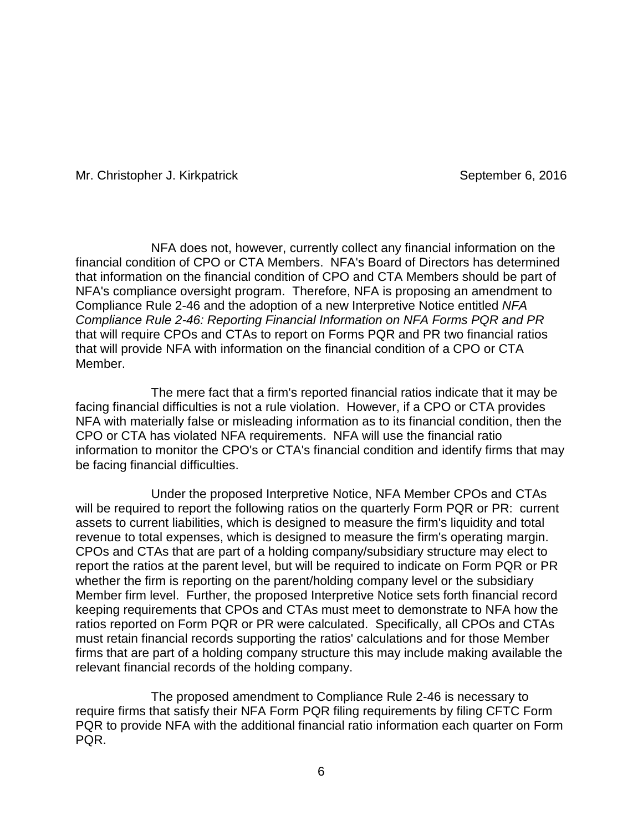NFA does not, however, currently collect any financial information on the financial condition of CPO or CTA Members. NFA's Board of Directors has determined that information on the financial condition of CPO and CTA Members should be part of NFA's compliance oversight program. Therefore, NFA is proposing an amendment to Compliance Rule 2-46 and the adoption of a new Interpretive Notice entitled *NFA Compliance Rule 2-46: Reporting Financial Information on NFA Forms PQR and PR* that will require CPOs and CTAs to report on Forms PQR and PR two financial ratios that will provide NFA with information on the financial condition of a CPO or CTA Member.

The mere fact that a firm's reported financial ratios indicate that it may be facing financial difficulties is not a rule violation. However, if a CPO or CTA provides NFA with materially false or misleading information as to its financial condition, then the CPO or CTA has violated NFA requirements. NFA will use the financial ratio information to monitor the CPO's or CTA's financial condition and identify firms that may be facing financial difficulties.

Under the proposed Interpretive Notice, NFA Member CPOs and CTAs will be required to report the following ratios on the quarterly Form PQR or PR: current assets to current liabilities, which is designed to measure the firm's liquidity and total revenue to total expenses, which is designed to measure the firm's operating margin. CPOs and CTAs that are part of a holding company/subsidiary structure may elect to report the ratios at the parent level, but will be required to indicate on Form PQR or PR whether the firm is reporting on the parent/holding company level or the subsidiary Member firm level. Further, the proposed Interpretive Notice sets forth financial record keeping requirements that CPOs and CTAs must meet to demonstrate to NFA how the ratios reported on Form PQR or PR were calculated. Specifically, all CPOs and CTAs must retain financial records supporting the ratios' calculations and for those Member firms that are part of a holding company structure this may include making available the relevant financial records of the holding company.

The proposed amendment to Compliance Rule 2-46 is necessary to require firms that satisfy their NFA Form PQR filing requirements by filing CFTC Form PQR to provide NFA with the additional financial ratio information each quarter on Form PQR.